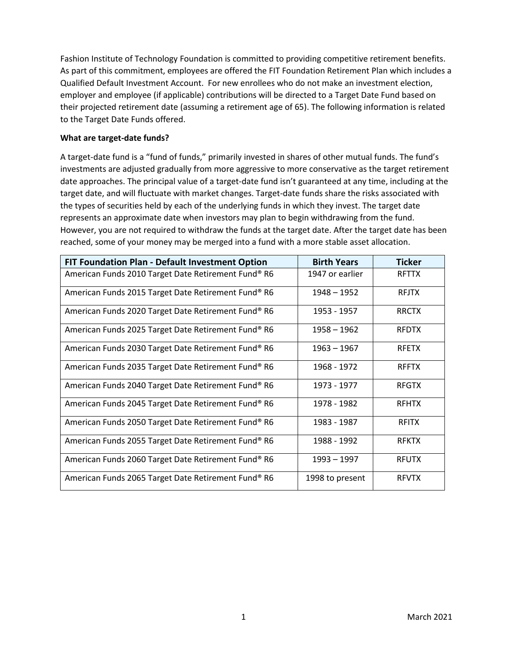Fashion Institute of Technology Foundation is committed to providing competitive retirement benefits. As part of this commitment, employees are offered the FIT Foundation Retirement Plan which includes a Qualified Default Investment Account. For new enrollees who do not make an investment election, employer and employee (if applicable) contributions will be directed to a Target Date Fund based on their projected retirement date (assuming a retirement age of 65). The following information is related to the Target Date Funds offered.

# **What are target-date funds?**

A target-date fund is a "fund of funds," primarily invested in shares of other mutual funds. The fund's investments are adjusted gradually from more aggressive to more conservative as the target retirement date approaches. The principal value of a target-date fund isn't guaranteed at any time, including at the target date, and will fluctuate with market changes. Target-date funds share the risks associated with the types of securities held by each of the underlying funds in which they invest. The target date represents an approximate date when investors may plan to begin withdrawing from the fund. However, you are not required to withdraw the funds at the target date. After the target date has been reached, some of your money may be merged into a fund with a more stable asset allocation.

| <b>FIT Foundation Plan - Default Investment Option</b> | <b>Birth Years</b> | <b>Ticker</b> |  |
|--------------------------------------------------------|--------------------|---------------|--|
| American Funds 2010 Target Date Retirement Fund® R6    | 1947 or earlier    | <b>RFTTX</b>  |  |
| American Funds 2015 Target Date Retirement Fund® R6    | 1948 - 1952        | <b>RFJTX</b>  |  |
| American Funds 2020 Target Date Retirement Fund® R6    | 1953 - 1957        | <b>RRCTX</b>  |  |
| American Funds 2025 Target Date Retirement Fund® R6    | 1958 - 1962        | <b>RFDTX</b>  |  |
| American Funds 2030 Target Date Retirement Fund® R6    | $1963 - 1967$      | <b>RFETX</b>  |  |
| American Funds 2035 Target Date Retirement Fund® R6    | 1968 - 1972        | <b>RFFTX</b>  |  |
| American Funds 2040 Target Date Retirement Fund® R6    | 1973 - 1977        | <b>RFGTX</b>  |  |
| American Funds 2045 Target Date Retirement Fund® R6    | 1978 - 1982        | <b>RFHTX</b>  |  |
| American Funds 2050 Target Date Retirement Fund® R6    | 1983 - 1987        | <b>RFITX</b>  |  |
| American Funds 2055 Target Date Retirement Fund® R6    | 1988 - 1992        | <b>RFKTX</b>  |  |
| American Funds 2060 Target Date Retirement Fund® R6    | 1993 - 1997        | <b>RFUTX</b>  |  |
| American Funds 2065 Target Date Retirement Fund® R6    | 1998 to present    | <b>RFVTX</b>  |  |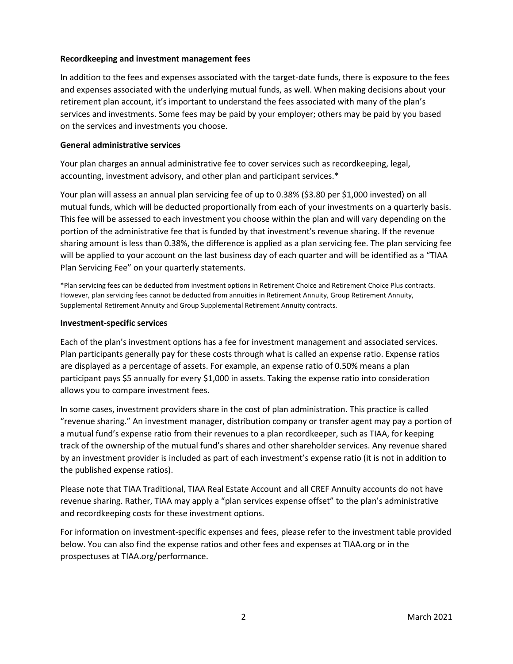### **Recordkeeping and investment management fees**

In addition to the fees and expenses associated with the target-date funds, there is exposure to the fees and expenses associated with the underlying mutual funds, as well. When making decisions about your retirement plan account, it's important to understand the fees associated with many of the plan's services and investments. Some fees may be paid by your employer; others may be paid by you based on the services and investments you choose.

### **General administrative services**

Your plan charges an annual administrative fee to cover services such as recordkeeping, legal, accounting, investment advisory, and other plan and participant services.\*

Your plan will assess an annual plan servicing fee of up to 0.38% (\$3.80 per \$1,000 invested) on all mutual funds, which will be deducted proportionally from each of your investments on a quarterly basis. This fee will be assessed to each investment you choose within the plan and will vary depending on the portion of the administrative fee that is funded by that investment's revenue sharing. If the revenue sharing amount is less than 0.38%, the difference is applied as a plan servicing fee. The plan servicing fee will be applied to your account on the last business day of each quarter and will be identified as a "TIAA Plan Servicing Fee" on your quarterly statements.

\*Plan servicing fees can be deducted from investment options in Retirement Choice and Retirement Choice Plus contracts. However, plan servicing fees cannot be deducted from annuities in Retirement Annuity, Group Retirement Annuity, Supplemental Retirement Annuity and Group Supplemental Retirement Annuity contracts.

### **Investment-specific services**

Each of the plan's investment options has a fee for investment management and associated services. Plan participants generally pay for these costs through what is called an expense ratio. Expense ratios are displayed as a percentage of assets. For example, an expense ratio of 0.50% means a plan participant pays \$5 annually for every \$1,000 in assets. Taking the expense ratio into consideration allows you to compare investment fees.

In some cases, investment providers share in the cost of plan administration. This practice is called "revenue sharing." An investment manager, distribution company or transfer agent may pay a portion of a mutual fund's expense ratio from their revenues to a plan recordkeeper, such as TIAA, for keeping track of the ownership of the mutual fund's shares and other shareholder services. Any revenue shared by an investment provider is included as part of each investment's expense ratio (it is not in addition to the published expense ratios).

Please note that TIAA Traditional, TIAA Real Estate Account and all CREF Annuity accounts do not have revenue sharing. Rather, TIAA may apply a "plan services expense offset" to the plan's administrative and recordkeeping costs for these investment options.

For information on investment-specific expenses and fees, please refer to the investment table provided below. You can also find the expense ratios and other fees and expenses at TIAA.org or in the prospectuses at TIAA.org/performance.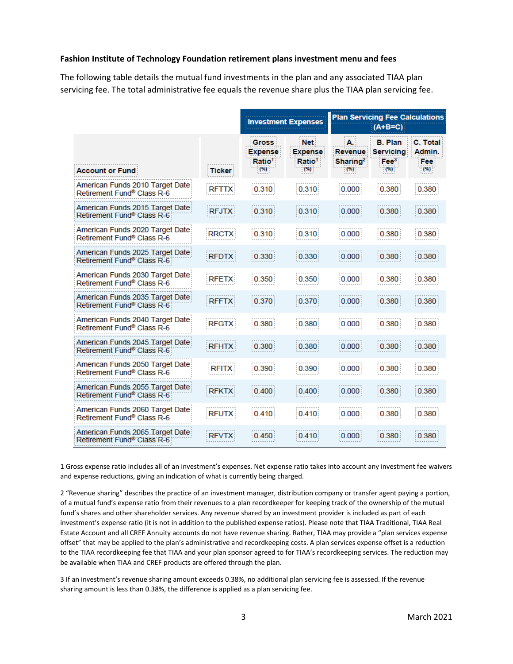#### **Fashion Institute of Technology Foundation retirement plans investment menu and fees**

The following table details the mutual fund investments in the plan and any associated TIAA plan servicing fee. The total administrative fee equals the revenue share plus the TIAA plan servicing fee.

|                                                                           |               | <b>Investment Expenses</b>                                   |                                                           | <b>Plan Servicing Fee Calculations</b><br>$(A+B=C)$    |                                                                 |                                   |  |
|---------------------------------------------------------------------------|---------------|--------------------------------------------------------------|-----------------------------------------------------------|--------------------------------------------------------|-----------------------------------------------------------------|-----------------------------------|--|
| <b>Account or Fund</b>                                                    | <b>Ticker</b> | <b>Gross</b><br><b>Expense</b><br>Ratio <sup>1</sup><br>(96) | <b>Net</b><br><b>Expense</b><br>Ratio <sup>1</sup><br>(%) | $\mathbf{A}$<br>Revenue<br>Sharing <sup>2</sup><br>(%) | <b>B. Plan</b><br><b>Servicing</b><br>$\mathsf{F}ee^3$<br>$(*)$ | C. Total<br>Admin.<br>Fee<br>(96) |  |
| American Funds 2010 Target Date<br>Retirement Fund <sup>®</sup> Class R-6 | <b>RFTTX</b>  | 0.310                                                        | 0.310                                                     | 0.000                                                  | 0.380                                                           | 0.380                             |  |
| American Funds 2015 Target Date<br>Retirement Fund® Class R-61            | <b>RFJTX</b>  | 0.310                                                        | 0.310                                                     | 0.000                                                  | 0.380                                                           | 0.380                             |  |
| American Funds 2020 Target Date<br>Refirement Fund <sup>®</sup> Class R-6 | <b>RRCTX</b>  | 0.310                                                        | 0.310                                                     | 0.000                                                  | 0.380                                                           | 0.380                             |  |
| American Funds 2025 Target Date<br>Retirement Fund® Class R-6             | <b>RFDTX</b>  | 0.330                                                        | 0.330                                                     | 0.000                                                  | 0.380                                                           | 0.380                             |  |
| American Funds 2030 Target Date<br>Retirement Fund <sup>®</sup> Class R-6 | <b>RFETX</b>  | 0.350                                                        | 0.350                                                     | 0.000                                                  | 0.380                                                           | 0.380                             |  |
| American Funds 2035 Target Date<br>Retirement Fund® Class R-61            | <b>RFFTX</b>  | 0.370                                                        | 0.370                                                     | 0.000                                                  | 0.380                                                           | 0.380                             |  |
| American Funds 2040 Target Date<br>Refirement Fund <sup>®</sup> Class R-6 | <b>RFGTX</b>  | 0.380                                                        | 0.380                                                     | 0.000                                                  | 0.380                                                           | 0.380                             |  |
| American Funds 2045 Target Date<br>Retirement Fund <sup>®</sup> Class R-6 | <b>RFHTX</b>  | 0.380                                                        | 0.380                                                     | 0.000                                                  | 0.380                                                           | 0.380                             |  |
| American Funds 2050 Target Date<br>Refirement Fund <sup>®</sup> Class R-6 | <b>RFITX</b>  | 0.390                                                        | 0.390                                                     | 0.000                                                  | 0.380                                                           | 0.380                             |  |
| American Funds 2055 Target Date<br>Retirement Fund® Class R-6             | <b>RFKTX</b>  | 0.400                                                        | 0.400                                                     | 0.000                                                  | 0.380                                                           | 0.380                             |  |
| American Funds 2060 Target Date<br>Refirement Fund <sup>®</sup> Class R-6 | <b>RFUTX</b>  | 0.410                                                        | 0.410                                                     | 0.000                                                  | 0.380                                                           | 0.380                             |  |
| American Funds 2065 Target Date<br>Refirement Fund® Class R-6             | <b>RFVTX</b>  | 0.450                                                        | 0.410                                                     | 0.000                                                  | 0.380                                                           | 0.380                             |  |

1 Gross expense ratio includes all of an investment's expenses. Net expense ratio takes into account any investment fee waivers and expense reductions, giving an indication of what is currently being charged.

2 "Revenue sharing" describes the practice of an investment manager, distribution company or transfer agent paying a portion, of a mutual fund's expense ratio from their revenues to a plan recordkeeper for keeping track of the ownership of the mutual fund's shares and other shareholder services. Any revenue shared by an investment provider is included as part of each investment's expense ratio (it is not in addition to the published expense ratios). Please note that TIAA Traditional, TIAA Real Estate Account and all CREF Annuity accounts do not have revenue sharing. Rather, TIAA may provide a "plan services expense offset" that may be applied to the plan's administrative and recordkeeping costs. A plan services expense offset is a reduction to the TIAA recordkeeping fee that TIAA and your plan sponsor agreed to for TIAA's recordkeeping services. The reduction may be available when TIAA and CREF products are offered through the plan.

3 If an investment's revenue sharing amount exceeds 0.38%, no additional plan servicing fee is assessed. If the revenue sharing amount is less than 0.38%, the difference is applied as a plan servicing fee.